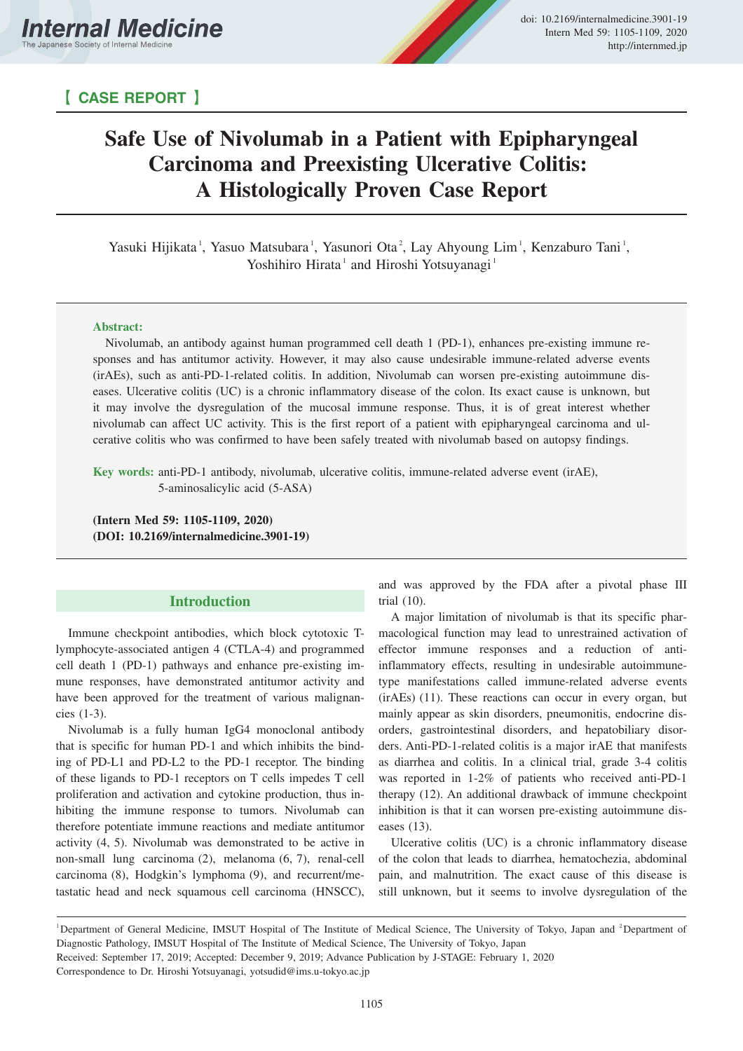

# 【 **CASE REPORT** 】

# **Safe Use of Nivolumab in a Patient with Epipharyngeal Carcinoma and Preexisting Ulcerative Colitis: A Histologically Proven Case Report**

Yasuki Hijikata<sup>1</sup>, Yasuo Matsubara<sup>1</sup>, Yasunori Ota<sup>2</sup>, Lay Ahyoung Lim<sup>1</sup>, Kenzaburo Tani<sup>1</sup>, Yoshihiro Hirata<sup>1</sup> and Hiroshi Yotsuyanagi<sup>1</sup>

## **Abstract:**

Nivolumab, an antibody against human programmed cell death 1 (PD-1), enhances pre-existing immune responses and has antitumor activity. However, it may also cause undesirable immune-related adverse events (irAEs), such as anti-PD-1-related colitis. In addition, Nivolumab can worsen pre-existing autoimmune diseases. Ulcerative colitis (UC) is a chronic inflammatory disease of the colon. Its exact cause is unknown, but it may involve the dysregulation of the mucosal immune response. Thus, it is of great interest whether nivolumab can affect UC activity. This is the first report of a patient with epipharyngeal carcinoma and ulcerative colitis who was confirmed to have been safely treated with nivolumab based on autopsy findings.

**Key words:** anti-PD-1 antibody, nivolumab, ulcerative colitis, immune-related adverse event (irAE), 5-aminosalicylic acid (5-ASA)

**(Intern Med 59: 1105-1109, 2020) (DOI: 10.2169/internalmedicine.3901-19)**

# **Introduction**

Immune checkpoint antibodies, which block cytotoxic Tlymphocyte-associated antigen 4 (CTLA-4) and programmed cell death 1 (PD-1) pathways and enhance pre-existing immune responses, have demonstrated antitumor activity and have been approved for the treatment of various malignancies (1-3).

Nivolumab is a fully human IgG4 monoclonal antibody that is specific for human PD-1 and which inhibits the binding of PD-L1 and PD-L2 to the PD-1 receptor. The binding of these ligands to PD-1 receptors on T cells impedes T cell proliferation and activation and cytokine production, thus inhibiting the immune response to tumors. Nivolumab can therefore potentiate immune reactions and mediate antitumor activity (4, 5). Nivolumab was demonstrated to be active in non-small lung carcinoma (2), melanoma (6, 7), renal-cell carcinoma (8), Hodgkin's lymphoma (9), and recurrent/metastatic head and neck squamous cell carcinoma (HNSCC), and was approved by the FDA after a pivotal phase III trial (10).

A major limitation of nivolumab is that its specific pharmacological function may lead to unrestrained activation of effector immune responses and a reduction of antiinflammatory effects, resulting in undesirable autoimmunetype manifestations called immune-related adverse events (irAEs) (11). These reactions can occur in every organ, but mainly appear as skin disorders, pneumonitis, endocrine disorders, gastrointestinal disorders, and hepatobiliary disorders. Anti-PD-1-related colitis is a major irAE that manifests as diarrhea and colitis. In a clinical trial, grade 3-4 colitis was reported in 1-2% of patients who received anti-PD-1 therapy (12). An additional drawback of immune checkpoint inhibition is that it can worsen pre-existing autoimmune diseases (13).

Ulcerative colitis (UC) is a chronic inflammatory disease of the colon that leads to diarrhea, hematochezia, abdominal pain, and malnutrition. The exact cause of this disease is still unknown, but it seems to involve dysregulation of the

<sup>&</sup>lt;sup>1</sup>Department of General Medicine, IMSUT Hospital of The Institute of Medical Science, The University of Tokyo, Japan and <sup>2</sup>Department of Diagnostic Pathology, IMSUT Hospital of The Institute of Medical Science, The University of Tokyo, Japan

Received: September 17, 2019; Accepted: December 9, 2019; Advance Publication by J-STAGE: February 1, 2020

Correspondence to Dr. Hiroshi Yotsuyanagi, yotsudid@ims.u-tokyo.ac.jp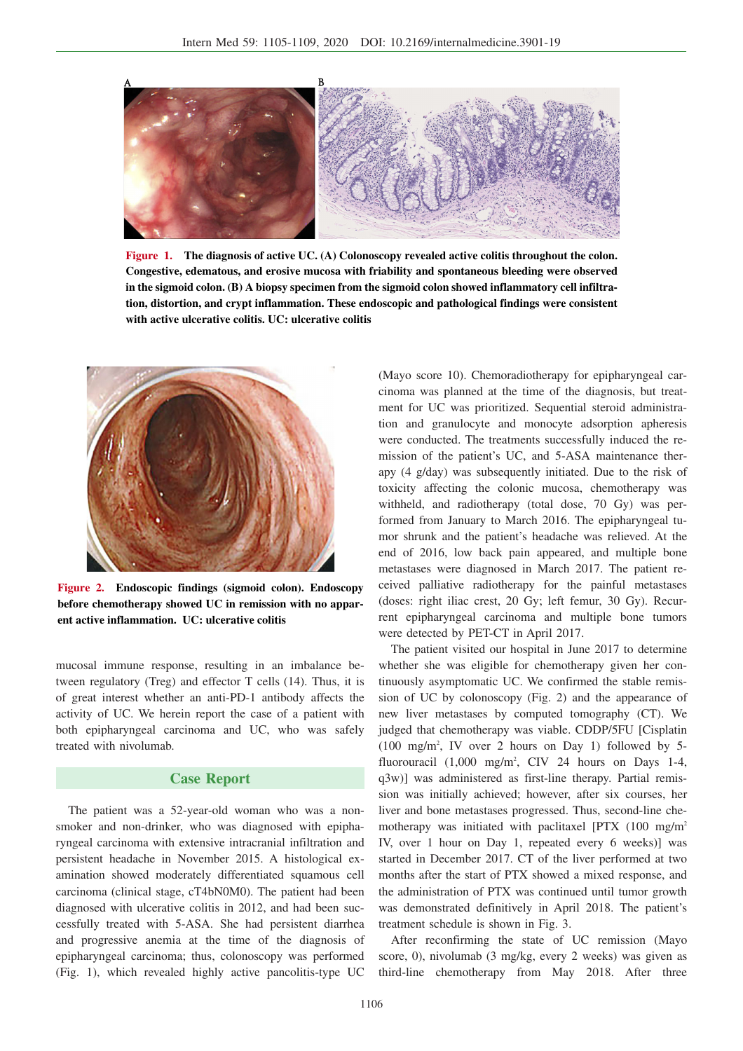

**Figure 1. The diagnosis of active UC. (A) Colonoscopy revealed active colitis throughout the colon. Congestive, edematous, and erosive mucosa with friability and spontaneous bleeding were observed in the sigmoid colon. (B) A biopsy specimen from the sigmoid colon showed inflammatory cell infiltration, distortion, and crypt inflammation. These endoscopic and pathological findings were consistent with active ulcerative colitis. UC: ulcerative colitis**



**Figure 2. Endoscopic findings (sigmoid colon). Endoscopy before chemotherapy showed UC in remission with no apparent active inflammation. UC: ulcerative colitis**

mucosal immune response, resulting in an imbalance between regulatory (Treg) and effector T cells (14). Thus, it is of great interest whether an anti-PD-1 antibody affects the activity of UC. We herein report the case of a patient with both epipharyngeal carcinoma and UC, who was safely treated with nivolumab.

# **Case Report**

The patient was a 52-year-old woman who was a nonsmoker and non-drinker, who was diagnosed with epipharyngeal carcinoma with extensive intracranial infiltration and persistent headache in November 2015. A histological examination showed moderately differentiated squamous cell carcinoma (clinical stage, cT4bN0M0). The patient had been diagnosed with ulcerative colitis in 2012, and had been successfully treated with 5-ASA. She had persistent diarrhea and progressive anemia at the time of the diagnosis of epipharyngeal carcinoma; thus, colonoscopy was performed (Fig. 1), which revealed highly active pancolitis-type UC

(Mayo score 10). Chemoradiotherapy for epipharyngeal carcinoma was planned at the time of the diagnosis, but treatment for UC was prioritized. Sequential steroid administration and granulocyte and monocyte adsorption apheresis were conducted. The treatments successfully induced the remission of the patient's UC, and 5-ASA maintenance therapy (4 g/day) was subsequently initiated. Due to the risk of toxicity affecting the colonic mucosa, chemotherapy was withheld, and radiotherapy (total dose, 70 Gy) was performed from January to March 2016. The epipharyngeal tumor shrunk and the patient's headache was relieved. At the end of 2016, low back pain appeared, and multiple bone metastases were diagnosed in March 2017. The patient received palliative radiotherapy for the painful metastases (doses: right iliac crest, 20 Gy; left femur, 30 Gy). Recurrent epipharyngeal carcinoma and multiple bone tumors were detected by PET-CT in April 2017.

The patient visited our hospital in June 2017 to determine whether she was eligible for chemotherapy given her continuously asymptomatic UC. We confirmed the stable remission of UC by colonoscopy (Fig. 2) and the appearance of new liver metastases by computed tomography (CT). We judged that chemotherapy was viable. CDDP/5FU [Cisplatin (100 mg/m2 , IV over 2 hours on Day 1) followed by 5 fluorouracil  $(1,000 \text{ mg/m}^2, \text{ CIV}$  24 hours on Days 1-4, q3w)] was administered as first-line therapy. Partial remission was initially achieved; however, after six courses, her liver and bone metastases progressed. Thus, second-line chemotherapy was initiated with paclitaxel  $[PTX (100 mg/m<sup>2</sup>$ IV, over 1 hour on Day 1, repeated every 6 weeks)] was started in December 2017. CT of the liver performed at two months after the start of PTX showed a mixed response, and the administration of PTX was continued until tumor growth was demonstrated definitively in April 2018. The patient's treatment schedule is shown in Fig. 3.

After reconfirming the state of UC remission (Mayo score, 0), nivolumab (3 mg/kg, every 2 weeks) was given as third-line chemotherapy from May 2018. After three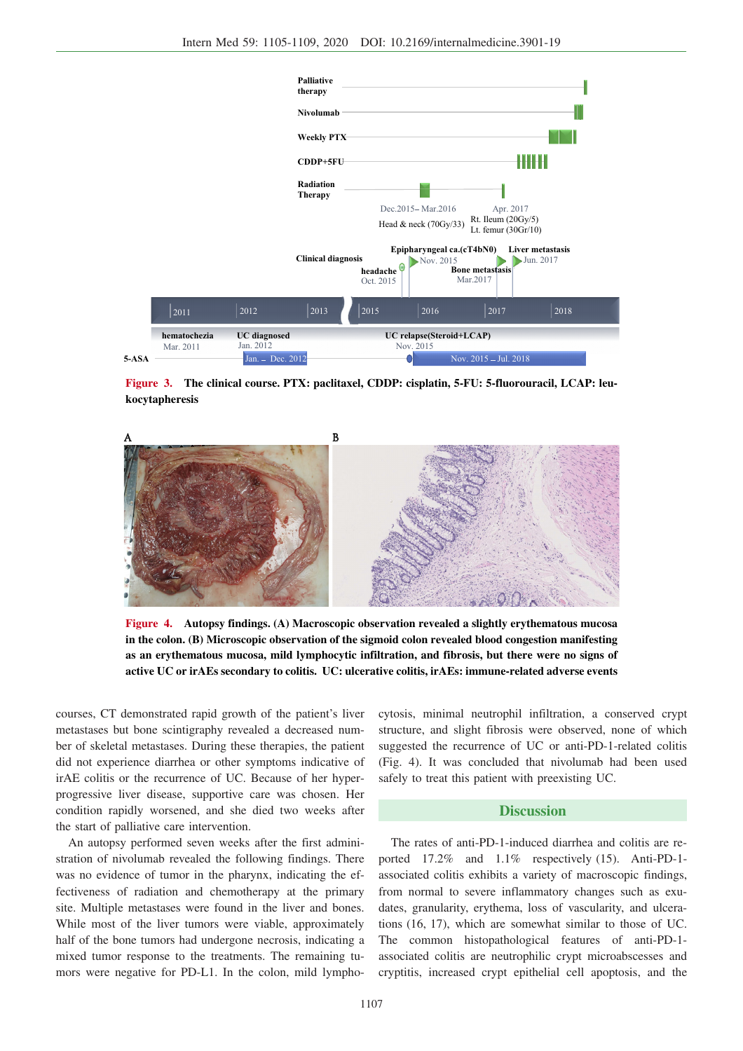

**Figure 3. The clinical course. PTX: paclitaxel, CDDP: cisplatin, 5-FU: 5-fluorouracil, LCAP: leukocytapheresis**



**Figure 4. Autopsy findings. (A) Macroscopic observation revealed a slightly erythematous mucosa in the colon. (B) Microscopic observation of the sigmoid colon revealed blood congestion manifesting as an erythematous mucosa, mild lymphocytic infiltration, and fibrosis, but there were no signs of active UC or irAEs secondary to colitis. UC: ulcerative colitis, irAEs: immune-related adverse events**

courses, CT demonstrated rapid growth of the patient's liver metastases but bone scintigraphy revealed a decreased number of skeletal metastases. During these therapies, the patient did not experience diarrhea or other symptoms indicative of irAE colitis or the recurrence of UC. Because of her hyperprogressive liver disease, supportive care was chosen. Her condition rapidly worsened, and she died two weeks after the start of palliative care intervention.

An autopsy performed seven weeks after the first administration of nivolumab revealed the following findings. There was no evidence of tumor in the pharynx, indicating the effectiveness of radiation and chemotherapy at the primary site. Multiple metastases were found in the liver and bones. While most of the liver tumors were viable, approximately half of the bone tumors had undergone necrosis, indicating a mixed tumor response to the treatments. The remaining tumors were negative for PD-L1. In the colon, mild lymphocytosis, minimal neutrophil infiltration, a conserved crypt structure, and slight fibrosis were observed, none of which suggested the recurrence of UC or anti-PD-1-related colitis (Fig. 4). It was concluded that nivolumab had been used safely to treat this patient with preexisting UC.

# **Discussion**

The rates of anti-PD-1-induced diarrhea and colitis are reported 17.2% and 1.1% respectively (15). Anti-PD-1 associated colitis exhibits a variety of macroscopic findings, from normal to severe inflammatory changes such as exudates, granularity, erythema, loss of vascularity, and ulcerations (16, 17), which are somewhat similar to those of UC. The common histopathological features of anti-PD-1 associated colitis are neutrophilic crypt microabscesses and cryptitis, increased crypt epithelial cell apoptosis, and the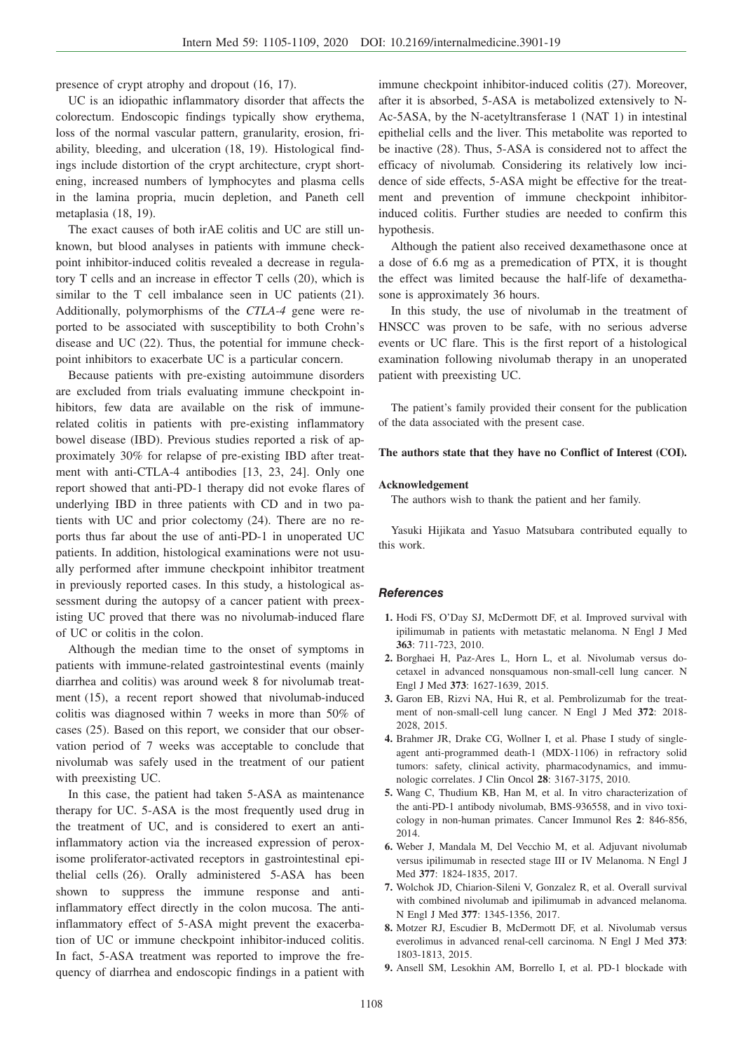presence of crypt atrophy and dropout (16, 17).

UC is an idiopathic inflammatory disorder that affects the colorectum. Endoscopic findings typically show erythema, loss of the normal vascular pattern, granularity, erosion, friability, bleeding, and ulceration (18, 19). Histological findings include distortion of the crypt architecture, crypt shortening, increased numbers of lymphocytes and plasma cells in the lamina propria, mucin depletion, and Paneth cell metaplasia (18, 19).

The exact causes of both irAE colitis and UC are still unknown, but blood analyses in patients with immune checkpoint inhibitor-induced colitis revealed a decrease in regulatory T cells and an increase in effector T cells (20), which is similar to the T cell imbalance seen in UC patients (21). Additionally, polymorphisms of the *CTLA-4* gene were reported to be associated with susceptibility to both Crohn's disease and UC (22). Thus, the potential for immune checkpoint inhibitors to exacerbate UC is a particular concern.

Because patients with pre-existing autoimmune disorders are excluded from trials evaluating immune checkpoint inhibitors, few data are available on the risk of immunerelated colitis in patients with pre-existing inflammatory bowel disease (IBD). Previous studies reported a risk of approximately 30% for relapse of pre-existing IBD after treatment with anti-CTLA-4 antibodies [13, 23, 24]. Only one report showed that anti-PD-1 therapy did not evoke flares of underlying IBD in three patients with CD and in two patients with UC and prior colectomy (24). There are no reports thus far about the use of anti-PD-1 in unoperated UC patients. In addition, histological examinations were not usually performed after immune checkpoint inhibitor treatment in previously reported cases. In this study, a histological assessment during the autopsy of a cancer patient with preexisting UC proved that there was no nivolumab-induced flare of UC or colitis in the colon.

Although the median time to the onset of symptoms in patients with immune-related gastrointestinal events (mainly diarrhea and colitis) was around week 8 for nivolumab treatment (15), a recent report showed that nivolumab-induced colitis was diagnosed within 7 weeks in more than 50% of cases (25). Based on this report, we consider that our observation period of 7 weeks was acceptable to conclude that nivolumab was safely used in the treatment of our patient with preexisting UC.

In this case, the patient had taken 5-ASA as maintenance therapy for UC. 5-ASA is the most frequently used drug in the treatment of UC, and is considered to exert an antiinflammatory action via the increased expression of peroxisome proliferator-activated receptors in gastrointestinal epithelial cells (26). Orally administered 5-ASA has been shown to suppress the immune response and antiinflammatory effect directly in the colon mucosa. The antiinflammatory effect of 5-ASA might prevent the exacerbation of UC or immune checkpoint inhibitor-induced colitis. In fact, 5-ASA treatment was reported to improve the frequency of diarrhea and endoscopic findings in a patient with immune checkpoint inhibitor-induced colitis (27). Moreover, after it is absorbed, 5-ASA is metabolized extensively to N-Ac-5ASA, by the N-acetyltransferase 1 (NAT 1) in intestinal epithelial cells and the liver. This metabolite was reported to be inactive (28). Thus, 5-ASA is considered not to affect the efficacy of nivolumab. Considering its relatively low incidence of side effects, 5-ASA might be effective for the treatment and prevention of immune checkpoint inhibitorinduced colitis. Further studies are needed to confirm this hypothesis.

Although the patient also received dexamethasone once at a dose of 6.6 mg as a premedication of PTX, it is thought the effect was limited because the half-life of dexamethasone is approximately 36 hours.

In this study, the use of nivolumab in the treatment of HNSCC was proven to be safe, with no serious adverse events or UC flare. This is the first report of a histological examination following nivolumab therapy in an unoperated patient with preexisting UC.

The patient's family provided their consent for the publication of the data associated with the present case.

#### **The authors state that they have no Conflict of Interest (COI).**

#### **Acknowledgement**

The authors wish to thank the patient and her family.

Yasuki Hijikata and Yasuo Matsubara contributed equally to this work.

### **References**

- **1.** Hodi FS, O'Day SJ, McDermott DF, et al. Improved survival with ipilimumab in patients with metastatic melanoma. N Engl J Med **363**: 711-723, 2010.
- **2.** Borghaei H, Paz-Ares L, Horn L, et al. Nivolumab versus docetaxel in advanced nonsquamous non-small-cell lung cancer. N Engl J Med **373**: 1627-1639, 2015.
- **3.** Garon EB, Rizvi NA, Hui R, et al. Pembrolizumab for the treatment of non-small-cell lung cancer. N Engl J Med **372**: 2018- 2028, 2015.
- **4.** Brahmer JR, Drake CG, Wollner I, et al. Phase I study of singleagent anti-programmed death-1 (MDX-1106) in refractory solid tumors: safety, clinical activity, pharmacodynamics, and immunologic correlates. J Clin Oncol **28**: 3167-3175, 2010.
- **5.** Wang C, Thudium KB, Han M, et al. In vitro characterization of the anti-PD-1 antibody nivolumab, BMS-936558, and in vivo toxicology in non-human primates. Cancer Immunol Res **2**: 846-856, 2014.
- **6.** Weber J, Mandala M, Del Vecchio M, et al. Adjuvant nivolumab versus ipilimumab in resected stage III or IV Melanoma. N Engl J Med **377**: 1824-1835, 2017.
- **7.** Wolchok JD, Chiarion-Sileni V, Gonzalez R, et al. Overall survival with combined nivolumab and ipilimumab in advanced melanoma. N Engl J Med **377**: 1345-1356, 2017.
- **8.** Motzer RJ, Escudier B, McDermott DF, et al. Nivolumab versus everolimus in advanced renal-cell carcinoma. N Engl J Med **373**: 1803-1813, 2015.
- **9.** Ansell SM, Lesokhin AM, Borrello I, et al. PD-1 blockade with